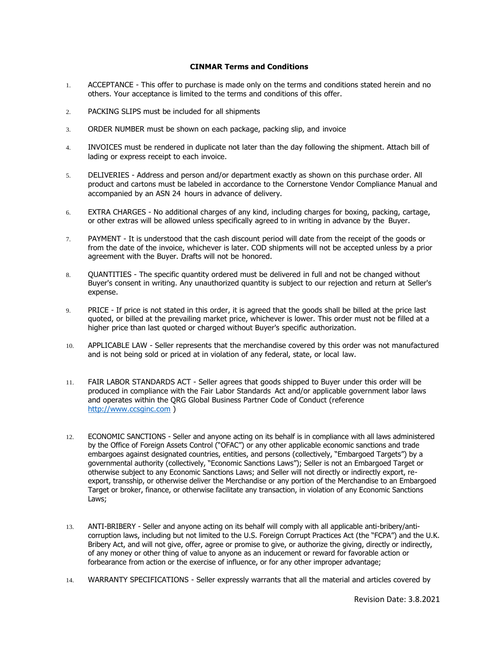## **CINMAR Terms and Conditions**

- 1. ACCEPTANCE This offer to purchase is made only on the terms and conditions stated herein and no others. Your acceptance is limited to the terms and conditions of this offer.
- 2. PACKING SLIPS must be included for all shipments
- 3. ORDER NUMBER must be shown on each package, packing slip, and invoice
- 4. INVOICES must be rendered in duplicate not later than the day following the shipment. Attach bill of lading or express receipt to each invoice.
- 5. DELIVERIES Address and person and/or department exactly as shown on this purchase order. All product and cartons must be labeled in accordance to the Cornerstone Vendor Compliance Manual and accompanied by an ASN 24 hours in advance of delivery.
- 6. EXTRA CHARGES No additional charges of any kind, including charges for boxing, packing, cartage, or other extras will be allowed unless specifically agreed to in writing in advance by the Buyer.
- 7. PAYMENT It is understood that the cash discount period will date from the receipt of the goods or from the date of the invoice, whichever is later. COD shipments will not be accepted unless by a prior agreement with the Buyer. Drafts will not be honored.
- 8. QUANTITIES The specific quantity ordered must be delivered in full and not be changed without Buyer's consent in writing. Any unauthorized quantity is subject to our rejection and return at Seller's expense.
- 9. PRICE If price is not stated in this order, it is agreed that the goods shall be billed at the price last quoted, or billed at the prevailing market price, whichever is lower. This order must not be filled at a higher price than last quoted or charged without Buyer's specific authorization.
- 10. APPLICABLE LAW Seller represents that the merchandise covered by this order was not manufactured and is not being sold or priced at in violation of any federal, state, or local law.
- 11. FAIR LABOR STANDARDS ACT Seller agrees that goods shipped to Buyer under this order will be produced in compliance with the Fair Labor Standards Act and/or applicable government labor laws and operates within the QRG Global Business Partner Code of Conduct (reference [http://www.ccsginc.com](http://www.ccsginc.com/) )
- 12. ECONOMIC SANCTIONS Seller and anyone acting on its behalf is in compliance with all laws administered by the Office of Foreign Assets Control ("OFAC") or any other applicable economic sanctions and trade embargoes against designated countries, entities, and persons (collectively, "Embargoed Targets") by a governmental authority (collectively, "Economic Sanctions Laws"); Seller is not an Embargoed Target or otherwise subject to any Economic Sanctions Laws; and Seller will not directly or indirectly export, reexport, transship, or otherwise deliver the Merchandise or any portion of the Merchandise to an Embargoed Target or broker, finance, or otherwise facilitate any transaction, in violation of any Economic Sanctions Laws;
- 13. ANTI-BRIBERY Seller and anyone acting on its behalf will comply with all applicable anti-bribery/anticorruption laws, including but not limited to the U.S. Foreign Corrupt Practices Act (the "FCPA") and the U.K. Bribery Act, and will not give, offer, agree or promise to give, or authorize the giving, directly or indirectly, of any money or other thing of value to anyone as an inducement or reward for favorable action or forbearance from action or the exercise of influence, or for any other improper advantage;
- 14. WARRANTY SPECIFICATIONS Seller expressly warrants that all the material and articles covered by